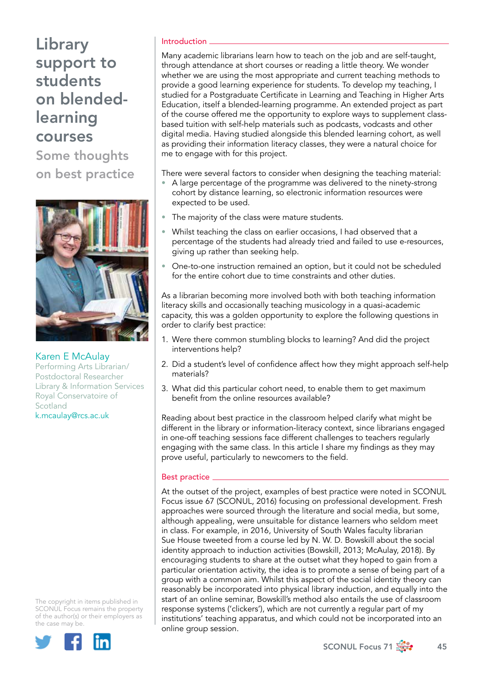# Library support to students on blendedlearning courses

Some thoughts on best practice



Karen E McAulay Performing Arts Librarian/ Postdoctoral Researcher Library & Information Services Royal Conservatoire of **Scotland** k.mcaulay@rcs.ac.uk

The copyright in items published in SCONUL Focus remains the property of the author(s) or their employers as the case may be.



### Introduction

Many academic librarians learn how to teach on the job and are self-taught, through attendance at short courses or reading a little theory. We wonder whether we are using the most appropriate and current teaching methods to provide a good learning experience for students. To develop my teaching, I studied for a Postgraduate Certificate in Learning and Teaching in Higher Arts Education, itself a blended-learning programme. An extended project as part of the course offered me the opportunity to explore ways to supplement classbased tuition with self-help materials such as podcasts, vodcasts and other digital media. Having studied alongside this blended learning cohort, as well as providing their information literacy classes, they were a natural choice for me to engage with for this project.

There were several factors to consider when designing the teaching material:

- A large percentage of the programme was delivered to the ninety-strong cohort by distance learning, so electronic information resources were expected to be used.
- The majority of the class were mature students.
- Whilst teaching the class on earlier occasions, I had observed that a percentage of the students had already tried and failed to use e-resources, giving up rather than seeking help.
- One-to-one instruction remained an option, but it could not be scheduled for the entire cohort due to time constraints and other duties.

As a librarian becoming more involved both with both teaching information literacy skills and occasionally teaching musicology in a quasi-academic capacity, this was a golden opportunity to explore the following questions in order to clarify best practice:

- 1. Were there common stumbling blocks to learning? And did the project interventions help?
- 2. Did a student's level of confidence affect how they might approach self-help materials?
- 3. What did this particular cohort need, to enable them to get maximum benefit from the online resources available?

Reading about best practice in the classroom helped clarify what might be different in the library or information-literacy context, since librarians engaged in one-off teaching sessions face different challenges to teachers regularly engaging with the same class. In this article I share my findings as they may prove useful, particularly to newcomers to the field.

## Best practice

At the outset of the project, examples of best practice were noted in SCONUL Focus issue 67 (SCONUL, 2016) focusing on professional development. Fresh approaches were sourced through the literature and social media, but some, although appealing, were unsuitable for distance learners who seldom meet in class. For example, in 2016, University of South Wales faculty librarian Sue House tweeted from a course led by N. W. D. Bowskill about the social identity approach to induction activities (Bowskill, 2013; McAulay, 2018). By encouraging students to share at the outset what they hoped to gain from a particular orientation activity, the idea is to promote a sense of being part of a group with a common aim. Whilst this aspect of the social identity theory can reasonably be incorporated into physical library induction, and equally into the start of an online seminar, Bowskill's method also entails the use of classroom response systems ('clickers'), which are not currently a regular part of my institutions' teaching apparatus, and which could not be incorporated into an online group session.

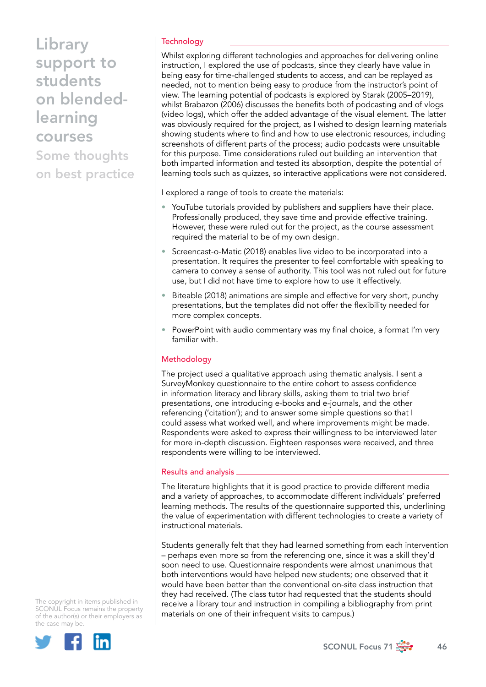## **Technology**

Whilst exploring different technologies and approaches for delivering online instruction, I explored the use of podcasts, since they clearly have value in being easy for time-challenged students to access, and can be replayed as needed, not to mention being easy to produce from the instructor's point of view. The learning potential of podcasts is explored by Starak (2005–2019), whilst Brabazon (2006) discusses the benefits both of podcasting and of vlogs (video logs), which offer the added advantage of the visual element. The latter was obviously required for the project, as I wished to design learning materials showing students where to find and how to use electronic resources, including screenshots of different parts of the process; audio podcasts were unsuitable for this purpose. Time considerations ruled out building an intervention that both imparted information and tested its absorption, despite the potential of learning tools such as quizzes, so interactive applications were not considered.

I explored a range of tools to create the materials:

- YouTube tutorials provided by publishers and suppliers have their place. Professionally produced, they save time and provide effective training. However, these were ruled out for the project, as the course assessment required the material to be of my own design.
- Screencast-o-Matic (2018) enables live video to be incorporated into a presentation. It requires the presenter to feel comfortable with speaking to camera to convey a sense of authority. This tool was not ruled out for future use, but I did not have time to explore how to use it effectively.
- Biteable (2018) animations are simple and effective for very short, punchy presentations, but the templates did not offer the flexibility needed for more complex concepts.
- PowerPoint with audio commentary was my final choice, a format I'm very familiar with.

#### Methodology

The project used a qualitative approach using thematic analysis. I sent a SurveyMonkey questionnaire to the entire cohort to assess confidence in information literacy and library skills, asking them to trial two brief presentations, one introducing e-books and e-journals, and the other referencing ('citation'); and to answer some simple questions so that I could assess what worked well, and where improvements might be made. Respondents were asked to express their willingness to be interviewed later for more in-depth discussion. Eighteen responses were received, and three respondents were willing to be interviewed.

#### Results and analysis

The literature highlights that it is good practice to provide different media and a variety of approaches, to accommodate different individuals' preferred learning methods. The results of the questionnaire supported this, underlining the value of experimentation with different technologies to create a variety of instructional materials.

Students generally felt that they had learned something from each intervention – perhaps even more so from the referencing one, since it was a skill they'd soon need to use. Questionnaire respondents were almost unanimous that both interventions would have helped new students; one observed that it would have been better than the conventional on-site class instruction that they had received. (The class tutor had requested that the students should receive a library tour and instruction in compiling a bibliography from print materials on one of their infrequent visits to campus.)



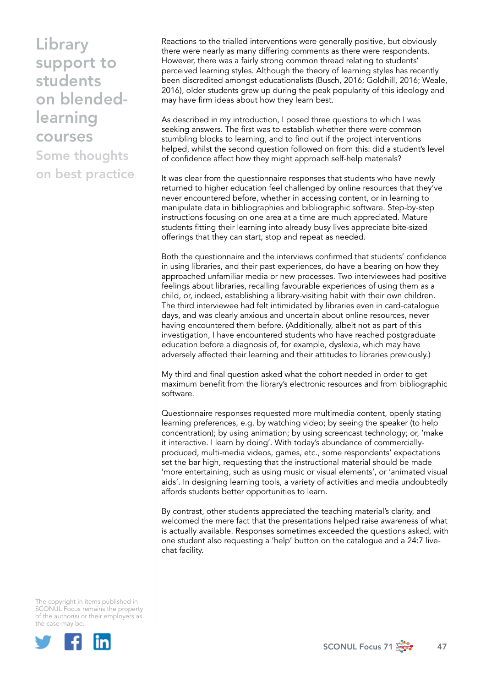Reactions to the trialled interventions were generally positive, but obviously there were nearly as many differing comments as there were respondents. However, there was a fairly strong common thread relating to students' perceived learning styles. Although the theory of learning styles has recently been discredited amongst educationalists (Busch, 2016; Goldhill, 2016; Weale, 2016), older students grew up during the peak popularity of this ideology and may have firm ideas about how they learn best.

As described in my introduction, I posed three questions to which I was seeking answers. The first was to establish whether there were common stumbling blocks to learning, and to find out if the project interventions helped, whilst the second question followed on from this: did a student's level of confidence affect how they might approach self-help materials?

It was clear from the questionnaire responses that students who have newly returned to higher education feel challenged by online resources that they've never encountered before, whether in accessing content, or in learning to manipulate data in bibliographies and bibliographic software. Step-by-step instructions focusing on one area at a time are much appreciated. Mature students fitting their learning into already busy lives appreciate bite-sized offerings that they can start, stop and repeat as needed.

Both the questionnaire and the interviews confirmed that students' confidence in using libraries, and their past experiences, do have a bearing on how they approached unfamiliar media or new processes. Two interviewees had positive feelings about libraries, recalling favourable experiences of using them as a child, or, indeed, establishing a library-visiting habit with their own children. The third interviewee had felt intimidated by libraries even in card-catalogue days, and was clearly anxious and uncertain about online resources, never having encountered them before. (Additionally, albeit not as part of this investigation, I have encountered students who have reached postgraduate education before a diagnosis of, for example, dyslexia, which may have adversely affected their learning and their attitudes to libraries previously.)

My third and final question asked what the cohort needed in order to get maximum benefit from the library's electronic resources and from bibliographic software.

Questionnaire responses requested more multimedia content, openly stating learning preferences, e.g. by watching video; by seeing the speaker (to help concentration); by using animation; by using screencast technology; or, 'make it interactive. I learn by doing'. With today's abundance of commerciallyproduced, multi-media videos, games, etc., some respondents' expectations set the bar high, requesting that the instructional material should be made 'more entertaining, such as using music or visual elements', or 'animated visual aids'. In designing learning tools, a variety of activities and media undoubtedly affords students better opportunities to learn.

By contrast, other students appreciated the teaching material's clarity, and welcomed the mere fact that the presentations helped raise awareness of what is actually available. Responses sometimes exceeded the questions asked, with one student also requesting a 'help' button on the catalogue and a 24:7 livechat facility.



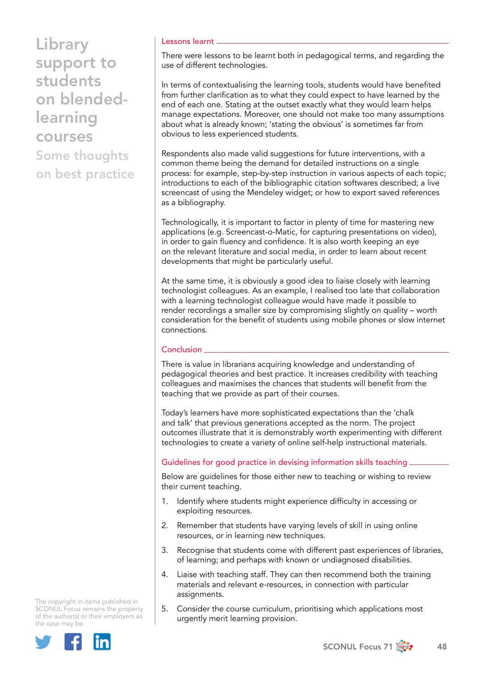#### Lessons learnt

There were lessons to be learnt both in pedagogical terms, and regarding the use of different technologies.

In terms of contextualising the learning tools, students would have benefited from further clarification as to what they could expect to have learned by the end of each one. Stating at the outset exactly what they would learn helps manage expectations. Moreover, one should not make too many assumptions about what is already known; 'stating the obvious' is sometimes far from obvious to less experienced students.

Respondents also made valid suggestions for future interventions, with a common theme being the demand for detailed instructions on a single process: for example, step-by-step instruction in various aspects of each topic; introductions to each of the bibliographic citation softwares described; a live screencast of using the Mendeley widget; or how to export saved references as a bibliography.

Technologically, it is important to factor in plenty of time for mastering new applications (e.g. Screencast-o-Matic, for capturing presentations on video), in order to gain fluency and confidence. It is also worth keeping an eye on the relevant literature and social media, in order to learn about recent developments that might be particularly useful.

At the same time, it is obviously a good idea to liaise closely with learning technologist colleagues. As an example, I realised too late that collaboration with a learning technologist colleague would have made it possible to render recordings a smaller size by compromising slightly on quality – worth consideration for the benefit of students using mobile phones or slow internet connections.

#### Conclusion

There is value in librarians acquiring knowledge and understanding of pedagogical theories and best practice. It increases credibility with teaching colleagues and maximises the chances that students will benefit from the teaching that we provide as part of their courses.

Today's learners have more sophisticated expectations than the 'chalk and talk' that previous generations accepted as the norm. The project outcomes illustrate that it is demonstrably worth experimenting with different technologies to create a variety of online self-help instructional materials.

#### Guidelines for good practice in devising information skills teaching

Below are guidelines for those either new to teaching or wishing to review their current teaching.

- 1. Identify where students might experience difficulty in accessing or exploiting resources.
- 2. Remember that students have varying levels of skill in using online resources, or in learning new techniques.
- 3. Recognise that students come with different past experiences of libraries, of learning; and perhaps with known or undiagnosed disabilities.
- 4. Liaise with teaching staff. They can then recommend both the training materials and relevant e-resources, in connection with particular assignments.
- 5. Consider the course curriculum, prioritising which applications most urgently merit learning provision.